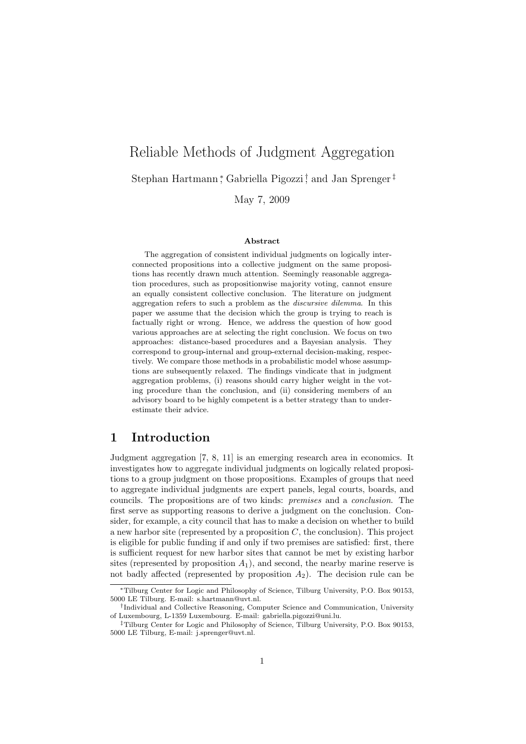# Reliable Methods of Judgment Aggregation Stephan Hartmann<sup>\*</sup>, Gabriella Pigozzi<sup>†</sup>, and Jan Sprenger<sup>‡</sup>

May 7, 2009

#### Abstract

The aggregation of consistent individual judgments on logically interconnected propositions into a collective judgment on the same propositions has recently drawn much attention. Seemingly reasonable aggregation procedures, such as propositionwise majority voting, cannot ensure an equally consistent collective conclusion. The literature on judgment aggregation refers to such a problem as the discursive dilemma. In this paper we assume that the decision which the group is trying to reach is factually right or wrong. Hence, we address the question of how good various approaches are at selecting the right conclusion. We focus on two approaches: distance-based procedures and a Bayesian analysis. They correspond to group-internal and group-external decision-making, respectively. We compare those methods in a probabilistic model whose assumptions are subsequently relaxed. The findings vindicate that in judgment aggregation problems, (i) reasons should carry higher weight in the voting procedure than the conclusion, and (ii) considering members of an advisory board to be highly competent is a better strategy than to underestimate their advice.

## 1 Introduction

Judgment aggregation [7, 8, 11] is an emerging research area in economics. It investigates how to aggregate individual judgments on logically related propositions to a group judgment on those propositions. Examples of groups that need to aggregate individual judgments are expert panels, legal courts, boards, and councils. The propositions are of two kinds: premises and a conclusion. The first serve as supporting reasons to derive a judgment on the conclusion. Consider, for example, a city council that has to make a decision on whether to build a new harbor site (represented by a proposition  $C$ , the conclusion). This project is eligible for public funding if and only if two premises are satisfied: first, there is sufficient request for new harbor sites that cannot be met by existing harbor sites (represented by proposition  $A_1$ ), and second, the nearby marine reserve is not badly affected (represented by proposition  $A_2$ ). The decision rule can be

<sup>∗</sup>Tilburg Center for Logic and Philosophy of Science, Tilburg University, P.O. Box 90153, 5000 LE Tilburg. E-mail: s.hartmann@uvt.nl.

<sup>†</sup> Individual and Collective Reasoning, Computer Science and Communication, University of Luxembourg, L-1359 Luxembourg. E-mail: gabriella.pigozzi@uni.lu.

<sup>‡</sup>Tilburg Center for Logic and Philosophy of Science, Tilburg University, P.O. Box 90153, 5000 LE Tilburg, E-mail: j.sprenger@uvt.nl.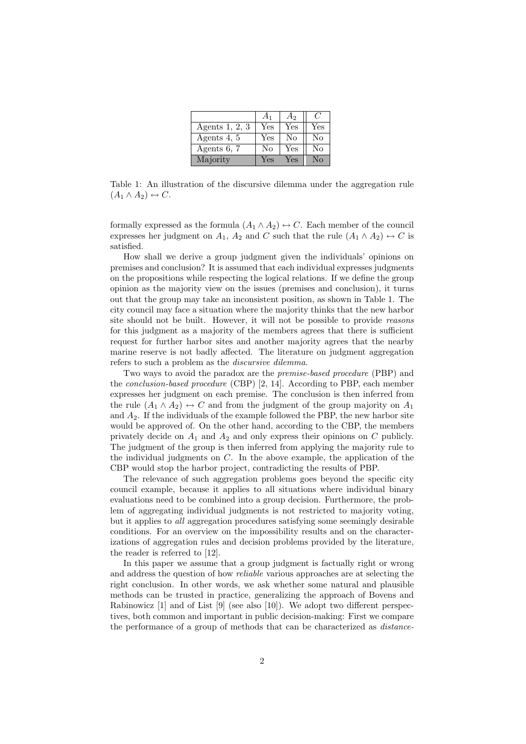|                  | A <sub>1</sub> | A <sub>2</sub> | C.  |
|------------------|----------------|----------------|-----|
| Agents $1, 2, 3$ | Yes            | Yes            | Yes |
| Agents 4, 5      | Yes            | No             | No  |
| Agents 6, 7      | No             | Yes            | No  |
| Majority         | Yes            | Yes            | No  |

Table 1: An illustration of the discursive dilemma under the aggregation rule  $(A_1 \wedge A_2) \leftrightarrow C$ .

formally expressed as the formula  $(A_1 \wedge A_2) \leftrightarrow C$ . Each member of the council expresses her judgment on  $A_1$ ,  $A_2$  and C such that the rule  $(A_1 \wedge A_2) \leftrightarrow C$  is satisfied.

How shall we derive a group judgment given the individuals' opinions on premises and conclusion? It is assumed that each individual expresses judgments on the propositions while respecting the logical relations. If we define the group opinion as the majority view on the issues (premises and conclusion), it turns out that the group may take an inconsistent position, as shown in Table 1. The city council may face a situation where the majority thinks that the new harbor site should not be built. However, it will not be possible to provide reasons for this judgment as a majority of the members agrees that there is sufficient request for further harbor sites and another majority agrees that the nearby marine reserve is not badly affected. The literature on judgment aggregation refers to such a problem as the discursive dilemma.

Two ways to avoid the paradox are the premise-based procedure (PBP) and the *conclusion-based procedure* (CBP) [2, 14]. According to PBP, each member expresses her judgment on each premise. The conclusion is then inferred from the rule  $(A_1 \wedge A_2) \leftrightarrow C$  and from the judgment of the group majority on  $A_1$ and  $A_2$ . If the individuals of the example followed the PBP, the new harbor site would be approved of. On the other hand, according to the CBP, the members privately decide on  $A_1$  and  $A_2$  and only express their opinions on C publicly. The judgment of the group is then inferred from applying the majority rule to the individual judgments on  $C$ . In the above example, the application of the CBP would stop the harbor project, contradicting the results of PBP.

The relevance of such aggregation problems goes beyond the specific city council example, because it applies to all situations where individual binary evaluations need to be combined into a group decision. Furthermore, the problem of aggregating individual judgments is not restricted to majority voting, but it applies to all aggregation procedures satisfying some seemingly desirable conditions. For an overview on the impossibility results and on the characterizations of aggregation rules and decision problems provided by the literature, the reader is referred to [12].

In this paper we assume that a group judgment is factually right or wrong and address the question of how reliable various approaches are at selecting the right conclusion. In other words, we ask whether some natural and plausible methods can be trusted in practice, generalizing the approach of Bovens and Rabinowicz [1] and of List [9] (see also [10]). We adopt two different perspectives, both common and important in public decision-making: First we compare the performance of a group of methods that can be characterized as distance-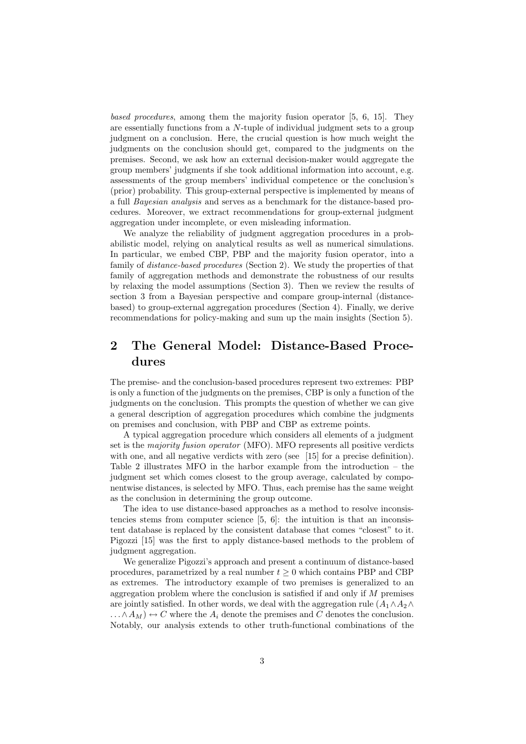based procedures, among them the majority fusion operator [5, 6, 15]. They are essentially functions from a N-tuple of individual judgment sets to a group judgment on a conclusion. Here, the crucial question is how much weight the judgments on the conclusion should get, compared to the judgments on the premises. Second, we ask how an external decision-maker would aggregate the group members' judgments if she took additional information into account, e.g. assessments of the group members' individual competence or the conclusion's (prior) probability. This group-external perspective is implemented by means of a full Bayesian analysis and serves as a benchmark for the distance-based procedures. Moreover, we extract recommendations for group-external judgment aggregation under incomplete, or even misleading information.

We analyze the reliability of judgment aggregation procedures in a probabilistic model, relying on analytical results as well as numerical simulations. In particular, we embed CBP, PBP and the majority fusion operator, into a family of *distance-based procedures* (Section 2). We study the properties of that family of aggregation methods and demonstrate the robustness of our results by relaxing the model assumptions (Section 3). Then we review the results of section 3 from a Bayesian perspective and compare group-internal (distancebased) to group-external aggregation procedures (Section 4). Finally, we derive recommendations for policy-making and sum up the main insights (Section 5).

# 2 The General Model: Distance-Based Procedures

The premise- and the conclusion-based procedures represent two extremes: PBP is only a function of the judgments on the premises, CBP is only a function of the judgments on the conclusion. This prompts the question of whether we can give a general description of aggregation procedures which combine the judgments on premises and conclusion, with PBP and CBP as extreme points.

A typical aggregation procedure which considers all elements of a judgment set is the majority fusion operator (MFO). MFO represents all positive verdicts with one, and all negative verdicts with zero (see [15] for a precise definition). Table 2 illustrates MFO in the harbor example from the introduction – the judgment set which comes closest to the group average, calculated by componentwise distances, is selected by MFO. Thus, each premise has the same weight as the conclusion in determining the group outcome.

The idea to use distance-based approaches as a method to resolve inconsistencies stems from computer science [5, 6]: the intuition is that an inconsistent database is replaced by the consistent database that comes "closest" to it. Pigozzi [15] was the first to apply distance-based methods to the problem of judgment aggregation.

We generalize Pigozzi's approach and present a continuum of distance-based procedures, parametrized by a real number  $t \geq 0$  which contains PBP and CBP as extremes. The introductory example of two premises is generalized to an aggregation problem where the conclusion is satisfied if and only if  $M$  premises are jointly satisfied. In other words, we deal with the aggregation rule  $(A_1 \wedge A_2 \wedge$  $\dots \wedge A_M$ )  $\leftrightarrow C$  where the  $A_i$  denote the premises and C denotes the conclusion. Notably, our analysis extends to other truth-functional combinations of the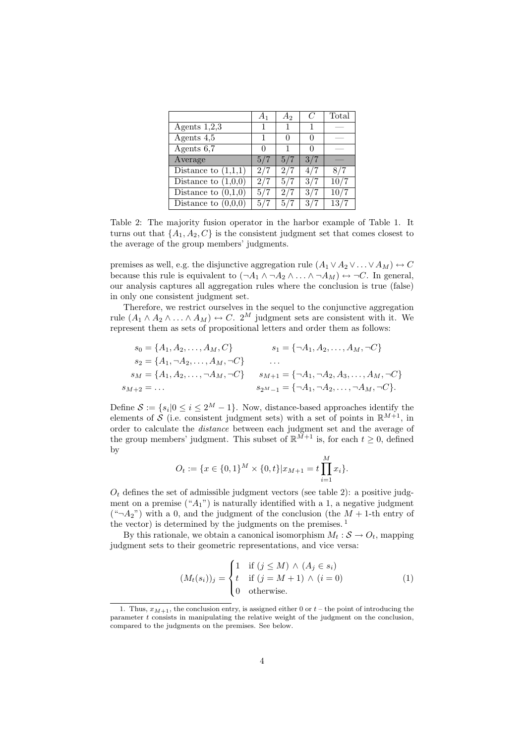|                       | $A_1$ | $A_2$ | C   | Total |
|-----------------------|-------|-------|-----|-------|
| Agents $1,2,3$        | 1     |       |     |       |
| Agents $4,5$          | 1     |       |     |       |
| Agents 6,7            |       |       |     |       |
| Average               | 5/7   | 5/7   | 3/7 |       |
| Distance to $(1,1,1)$ | 2/7   | 2/7   | 4/7 | 87'   |
| Distance to $(1,0,0)$ | 2/7   | 5/7   | 3/7 | 10/7  |
| Distance to $(0,1,0)$ | 5/7   | 2/7   | 3/7 | 10/7  |
| Distance to $(0,0,0)$ | 5/7   | 5/7   | 3/7 | 13/7  |

Table 2: The majority fusion operator in the harbor example of Table 1. It turns out that  $\{A_1, A_2, C\}$  is the consistent judgment set that comes closest to the average of the group members' judgments.

premises as well, e.g. the disjunctive aggregation rule  $(A_1 \vee A_2 \vee \ldots \vee A_M) \leftrightarrow C$ because this rule is equivalent to  $(\neg A_1 \land \neg A_2 \land \dots \land \neg A_M) \leftrightarrow \neg C$ . In general, our analysis captures all aggregation rules where the conclusion is true (false) in only one consistent judgment set.

Therefore, we restrict ourselves in the sequel to the conjunctive aggregation rule  $(A_1 \wedge A_2 \wedge \ldots \wedge A_M) \leftrightarrow C$ . 2<sup>M</sup> judgment sets are consistent with it. We represent them as sets of propositional letters and order them as follows:

$$
s_0 = \{A_1, A_2, \dots, A_M, C\} \qquad s_1 = \{\neg A_1, A_2, \dots, A_M, \neg C\}
$$
  
\n
$$
s_2 = \{A_1, \neg A_2, \dots, A_M, \neg C\} \qquad \dots
$$
  
\n
$$
s_M = \{A_1, A_2, \dots, \neg A_M, \neg C\} \qquad s_{M+1} = \{\neg A_1, \neg A_2, A_3, \dots, A_M, \neg C\}
$$
  
\n
$$
s_{M+2} = \dots \qquad s_{2^M-1} = \{\neg A_1, \neg A_2, \dots, \neg A_M, \neg C\}.
$$

Define  $S := \{s_i | 0 \le i \le 2^M - 1\}$ . Now, distance-based approaches identify the elements of S (i.e. consistent judgment sets) with a set of points in  $\mathbb{R}^{M+1}$ , in order to calculate the distance between each judgment set and the average of the group members' judgment. This subset of  $\mathbb{R}^{\tilde{M}+1}$  is, for each  $t \geq 0$ , defined by

$$
O_t := \{ x \in \{0,1\}^M \times \{0,t\} | x_{M+1} = t \prod_{i=1}^M x_i \}.
$$

 $O_t$  defines the set of admissible judgment vectors (see table 2): a positive judgment on a premise  $({}^{\omega}A_1$ ") is naturally identified with a 1, a negative judgment  $({}^{\omega} \neg A_2$ ") with a 0, and the judgment of the conclusion (the  $M + 1$ -th entry of the vector) is determined by the judgments on the premises.  $<sup>1</sup>$ </sup>

By this rationale, we obtain a canonical isomorphism  $M_t : \mathcal{S} \to O_t$ , mapping judgment sets to their geometric representations, and vice versa:

$$
(M_t(s_i))_j = \begin{cases} 1 & \text{if } (j \le M) \land (A_j \in s_i) \\ t & \text{if } (j = M + 1) \land (i = 0) \\ 0 & \text{otherwise.} \end{cases}
$$
 (1)

<sup>1.</sup> Thus,  $x_{M+1}$ , the conclusion entry, is assigned either 0 or  $t$  – the point of introducing the parameter t consists in manipulating the relative weight of the judgment on the conclusion, compared to the judgments on the premises. See below.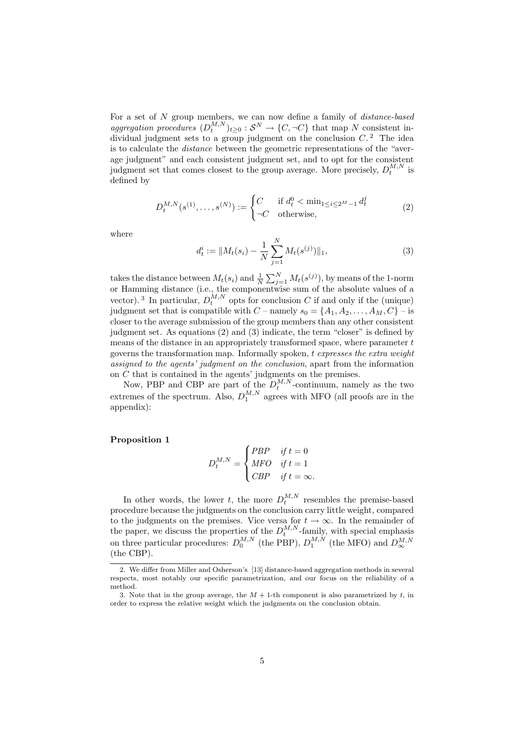For a set of N group members, we can now define a family of *distance-based* aggregation procedures  $(D_t^{M,N})_{t\geq 0} : S^N \to \{C, \neg C\}$  that map N consistent individual judgment sets to a group judgment on the conclusion  $C<sup>2</sup>$ . The idea is to calculate the distance between the geometric representations of the "average judgment" and each consistent judgment set, and to opt for the consistent judgment set that comes closest to the group average. More precisely,  $D_t^{M,N}$  is defined by

$$
D_t^{M,N}(s^{(1)},\ldots,s^{(N)}) := \begin{cases} C & \text{if } d_t^0 < \min_{1 \le i \le 2^M - 1} d_t^j \\ \neg C & \text{otherwise,} \end{cases} \tag{2}
$$

where

$$
d_t^i := \|M_t(s_i) - \frac{1}{N} \sum_{j=1}^N M_t(s^{(j)})\|_1,
$$
\n(3)

takes the distance between  $M_t(s_i)$  and  $\frac{1}{N} \sum_{j=1}^{N} M_t(s^{(j)})$ , by means of the 1-norm or Hamming distance (i.e., the componentwise sum of the absolute values of a vector).<sup>3</sup> In particular,  $D_t^{M,N}$  opts for conclusion C if and only if the (unique) judgment set that is compatible with  $C$  – namely  $s_0 = \{A_1, A_2, \ldots, A_M, C\}$  – is closer to the average submission of the group members than any other consistent judgment set. As equations (2) and (3) indicate, the term "closer" is defined by means of the distance in an appropriately transformed space, where parameter  $t$ governs the transformation map. Informally spoken, t expresses the extra weight assigned to the agents' judgment on the conclusion, apart from the information on C that is contained in the agents' judgments on the premises.

Now, PBP and CBP are part of the  $D_t^{M,N}$ -continuum, namely as the two extremes of the spectrum. Also,  $D_1^{M,N}$  agrees with MFO (all proofs are in the appendix):

#### Proposition 1

$$
D_t^{M,N} = \begin{cases} PBP & \text{if } t = 0\\ MFO & \text{if } t = 1\\ CBP & \text{if } t = \infty. \end{cases}
$$

In other words, the lower t, the more  $D_t^{M,N}$  resembles the premise-based procedure because the judgments on the conclusion carry little weight, compared to the judgments on the premises. Vice versa for  $t \to \infty$ . In the remainder of the paper, we discuss the properties of the  $D_t^{M,N}$ -family, with special emphasis on three particular procedures:  $D_0^{M,N}$  (the PBP),  $D_1^{M,N}$  (the MFO) and  $D_{\infty}^{M,N}$ (the CBP).

<sup>2.</sup> We differ from Miller and Osherson's [13] distance-based aggregation methods in several respects, most notably our specific parametrization, and our focus on the reliability of a method.

<sup>3.</sup> Note that in the group average, the  $M + 1$ -th component is also parametrized by t, in order to express the relative weight which the judgments on the conclusion obtain.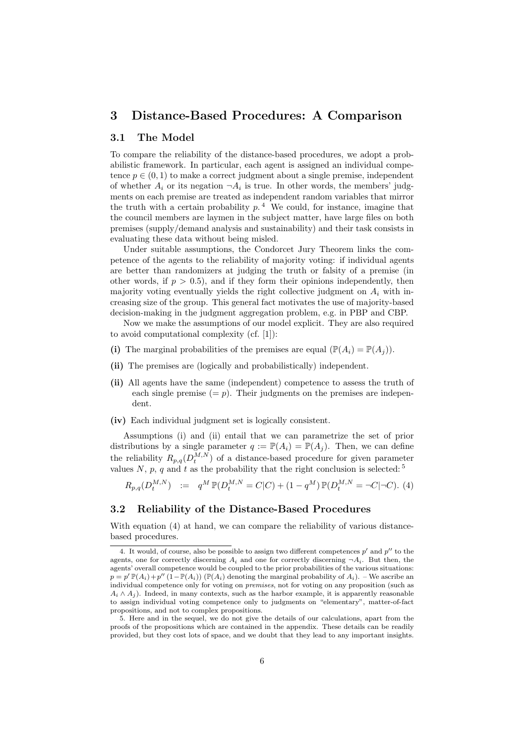# 3 Distance-Based Procedures: A Comparison

#### 3.1 The Model

To compare the reliability of the distance-based procedures, we adopt a probabilistic framework. In particular, each agent is assigned an individual competence  $p \in (0, 1)$  to make a correct judgment about a single premise, independent of whether  $A_i$  or its negation  $\neg A_i$  is true. In other words, the members' judgments on each premise are treated as independent random variables that mirror the truth with a certain probability  $p<sup>4</sup>$ . We could, for instance, imagine that the council members are laymen in the subject matter, have large files on both premises (supply/demand analysis and sustainability) and their task consists in evaluating these data without being misled.

Under suitable assumptions, the Condorcet Jury Theorem links the competence of the agents to the reliability of majority voting: if individual agents are better than randomizers at judging the truth or falsity of a premise (in other words, if  $p > 0.5$ , and if they form their opinions independently, then majority voting eventually yields the right collective judgment on  $A_i$  with increasing size of the group. This general fact motivates the use of majority-based decision-making in the judgment aggregation problem, e.g. in PBP and CBP.

Now we make the assumptions of our model explicit. They are also required to avoid computational complexity (cf. [1]):

- (i) The marginal probabilities of the premises are equal  $(\mathbb{P}(A_i) = \mathbb{P}(A_i))$ .
- (ii) The premises are (logically and probabilistically) independent.
- (ii) All agents have the same (independent) competence to assess the truth of each single premise  $(= p)$ . Their judgments on the premises are independent.
- (iv) Each individual judgment set is logically consistent.

Assumptions (i) and (ii) entail that we can parametrize the set of prior distributions by a single parameter  $q := \mathbb{P}(A_i) = \mathbb{P}(A_i)$ . Then, we can define the reliability  $R_{p,q}(D_t^{M,N})$  of a distance-based procedure for given parameter values N, p, q and t as the probability that the right conclusion is selected:  $5$ 

$$
R_{p,q}(D_t^{M,N}) \quad := \quad q^M \, \mathbb{P}(D_t^{M,N} = C|C) + (1 - q^M) \, \mathbb{P}(D_t^{M,N} = \neg C|\neg C). \tag{4}
$$

### 3.2 Reliability of the Distance-Based Procedures

With equation (4) at hand, we can compare the reliability of various distancebased procedures.

<sup>4.</sup> It would, of course, also be possible to assign two different competences  $p'$  and  $p''$  to the agents, one for correctly discerning  $A_i$  and one for correctly discerning  $\neg A_i$ . But then, the agents' overall competence would be coupled to the prior probabilities of the various situations:  $p = p' \mathbb{P}(A_i) + p''(1-\mathbb{P}(A_i)) (\mathbb{P}(A_i)$  denoting the marginal probability of  $A_i$ ). – We ascribe an individual competence only for voting on premises, not for voting on any proposition (such as  $A_i \wedge A_j$ ). Indeed, in many contexts, such as the harbor example, it is apparently reasonable to assign individual voting competence only to judgments on "elementary", matter-of-fact propositions, and not to complex propositions.

<sup>5.</sup> Here and in the sequel, we do not give the details of our calculations, apart from the proofs of the propositions which are contained in the appendix. These details can be readily provided, but they cost lots of space, and we doubt that they lead to any important insights.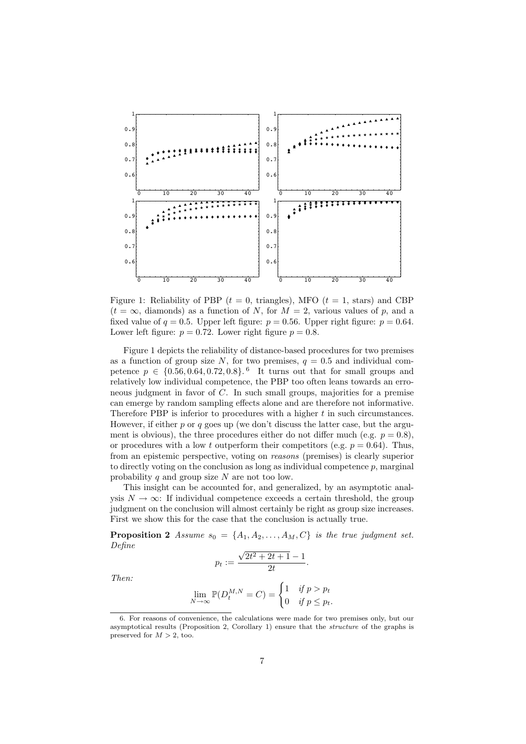

Figure 1: Reliability of PBP ( $t = 0$ , triangles), MFO ( $t = 1$ , stars) and CBP  $(t = \infty,$  diamonds) as a function of N, for  $M = 2$ , various values of p, and a fixed value of  $q = 0.5$ . Upper left figure:  $p = 0.56$ . Upper right figure:  $p = 0.64$ . Lower left figure:  $p = 0.72$ . Lower right figure  $p = 0.8$ .

Figure 1 depicts the reliability of distance-based procedures for two premises as a function of group size N, for two premises,  $q = 0.5$  and individual competence  $p \in \{0.56, 0.64, 0.72, 0.8\}$ . It turns out that for small groups and relatively low individual competence, the PBP too often leans towards an erroneous judgment in favor of C. In such small groups, majorities for a premise can emerge by random sampling effects alone and are therefore not informative. Therefore PBP is inferior to procedures with a higher t in such circumstances. However, if either  $p$  or  $q$  goes up (we don't discuss the latter case, but the argument is obvious), the three procedures either do not differ much (e.g.  $p = 0.8$ ), or procedures with a low t outperform their competitors (e.g.  $p = 0.64$ ). Thus, from an epistemic perspective, voting on reasons (premises) is clearly superior to directly voting on the conclusion as long as individual competence  $p$ , marginal probability  $q$  and group size  $N$  are not too low.

This insight can be accounted for, and generalized, by an asymptotic analysis  $N \to \infty$ : If individual competence exceeds a certain threshold, the group judgment on the conclusion will almost certainly be right as group size increases. First we show this for the case that the conclusion is actually true.

**Proposition 2** Assume  $s_0 = \{A_1, A_2, \ldots, A_M, C\}$  is the true judgment set. Define √

$$
p_t := \frac{\sqrt{2t^2 + 2t + 1} - 1}{2t}.
$$

Then:

$$
\lim_{N \to \infty} \mathbb{P}(D_t^{M,N} = C) = \begin{cases} 1 & \text{if } p > p_t \\ 0 & \text{if } p \le p_t. \end{cases}
$$

<sup>6.</sup> For reasons of convenience, the calculations were made for two premises only, but our asymptotical results (Proposition 2, Corollary 1) ensure that the structure of the graphs is preserved for  $M > 2$ , too.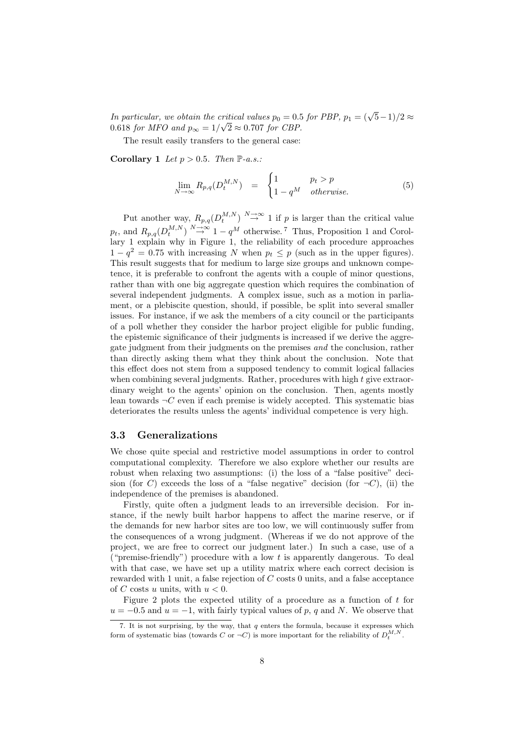In particular, we obtain the critical values  $p_0 = 0.5$  for PBP,  $p_1 = (\sqrt{5}-1)/2 \approx$ 0.618 for MFO and  $p_{\infty} = 1/\sqrt{2} \approx 0.707$  for CBP.

The result easily transfers to the general case:

Corollary 1 Let  $p > 0.5$ . Then  $\mathbb{P}\text{-}a.s.$ :

$$
\lim_{N \to \infty} R_{p,q}(D_t^{M,N}) = \begin{cases} 1 & p_t > p \\ 1 - q^M & otherwise. \end{cases}
$$
 (5)

Put another way,  $R_{p,q}(D_t^{M,N}) \stackrel{N\to\infty}{\to} 1$  if p is larger than the critical value  $p_t$ , and  $R_{p,q}(D_t^{M,N}) \stackrel{N\to\infty}{\to} 1-q^M$  otherwise.<sup>7</sup> Thus, Proposition 1 and Corollary 1 explain why in Figure 1, the reliability of each procedure approaches  $1 - q^2 = 0.75$  with increasing N when  $p_t \leq p$  (such as in the upper figures). This result suggests that for medium to large size groups and unknown competence, it is preferable to confront the agents with a couple of minor questions, rather than with one big aggregate question which requires the combination of several independent judgments. A complex issue, such as a motion in parliament, or a plebiscite question, should, if possible, be split into several smaller issues. For instance, if we ask the members of a city council or the participants of a poll whether they consider the harbor project eligible for public funding, the epistemic significance of their judgments is increased if we derive the aggregate judgment from their judgments on the premises and the conclusion, rather than directly asking them what they think about the conclusion. Note that this effect does not stem from a supposed tendency to commit logical fallacies when combining several judgments. Rather, procedures with high  $t$  give extraordinary weight to the agents' opinion on the conclusion. Then, agents mostly lean towards  $\neg C$  even if each premise is widely accepted. This systematic bias deteriorates the results unless the agents' individual competence is very high.

#### 3.3 Generalizations

We chose quite special and restrictive model assumptions in order to control computational complexity. Therefore we also explore whether our results are robust when relaxing two assumptions: (i) the loss of a "false positive" decision (for C) exceeds the loss of a "false negative" decision (for  $\neg C$ ), (ii) the independence of the premises is abandoned.

Firstly, quite often a judgment leads to an irreversible decision. For instance, if the newly built harbor happens to affect the marine reserve, or if the demands for new harbor sites are too low, we will continuously suffer from the consequences of a wrong judgment. (Whereas if we do not approve of the project, we are free to correct our judgment later.) In such a case, use of a ("premise-friendly") procedure with a low  $t$  is apparently dangerous. To deal with that case, we have set up a utility matrix where each correct decision is rewarded with 1 unit, a false rejection of C costs 0 units, and a false acceptance of C costs u units, with  $u < 0$ .

Figure 2 plots the expected utility of a procedure as a function of t for  $u = -0.5$  and  $u = -1$ , with fairly typical values of p, q and N. We observe that

<sup>7.</sup> It is not surprising, by the way, that q enters the formula, because it expresses which form of systematic bias (towards C or  $\neg C$ ) is more important for the reliability of  $D_t^{M,N}$ .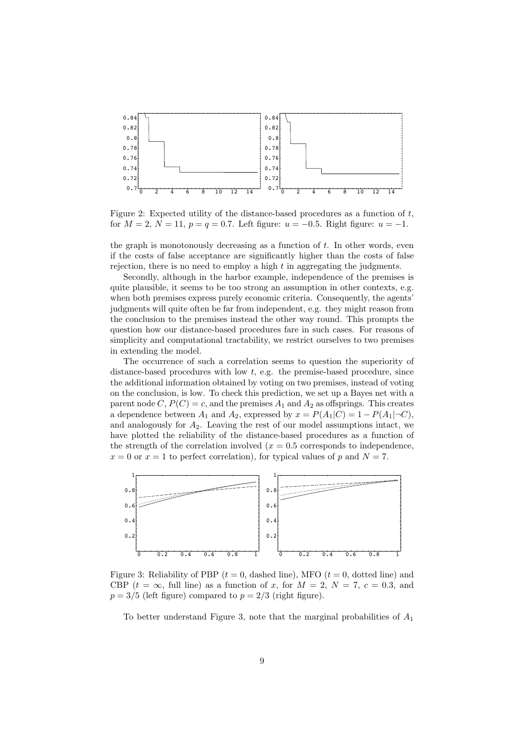

Figure 2: Expected utility of the distance-based procedures as a function of  $t$ , for  $M = 2$ ,  $N = 11$ ,  $p = q = 0.7$ . Left figure:  $u = -0.5$ . Right figure:  $u = -1$ .

the graph is monotonously decreasing as a function of  $t$ . In other words, even if the costs of false acceptance are significantly higher than the costs of false rejection, there is no need to employ a high  $t$  in aggregating the judgments.

Secondly, although in the harbor example, independence of the premises is quite plausible, it seems to be too strong an assumption in other contexts, e.g. when both premises express purely economic criteria. Consequently, the agents' judgments will quite often be far from independent, e.g. they might reason from the conclusion to the premises instead the other way round. This prompts the question how our distance-based procedures fare in such cases. For reasons of simplicity and computational tractability, we restrict ourselves to two premises in extending the model.

The occurrence of such a correlation seems to question the superiority of distance-based procedures with low t, e.g. the premise-based procedure, since the additional information obtained by voting on two premises, instead of voting on the conclusion, is low. To check this prediction, we set up a Bayes net with a parent node C,  $P(C) = c$ , and the premises  $A_1$  and  $A_2$  as offsprings. This creates a dependence between  $A_1$  and  $A_2$ , expressed by  $x = P(A_1|C) = 1 - P(A_1|\neg C)$ , and analogously for  $A_2$ . Leaving the rest of our model assumptions intact, we have plotted the reliability of the distance-based procedures as a function of the strength of the correlation involved  $(x = 0.5$  corresponds to independence,  $x = 0$  or  $x = 1$  to perfect correlation), for typical values of p and  $N = 7$ .



Figure 3: Reliability of PBP ( $t = 0$ , dashed line), MFO ( $t = 0$ , dotted line) and CBP  $(t = \infty,$  full line) as a function of x, for  $M = 2$ ,  $N = 7$ ,  $c = 0.3$ , and  $p = 3/5$  (left figure) compared to  $p = 2/3$  (right figure).

To better understand Figure 3, note that the marginal probabilities of  $A_1$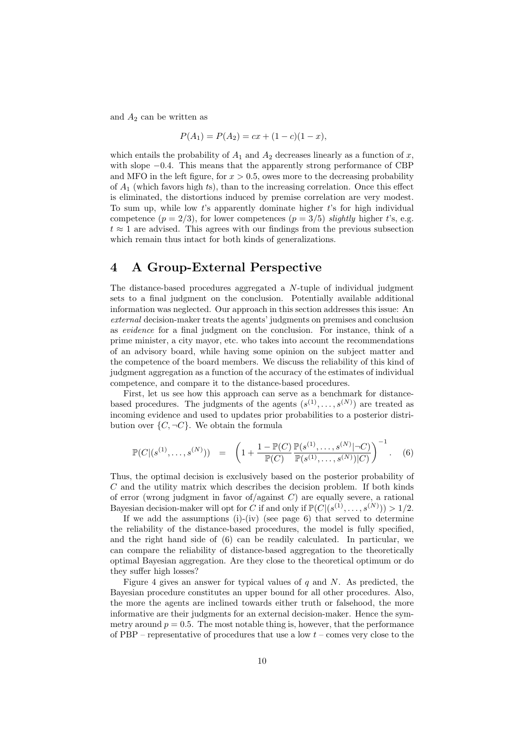and  $A_2$  can be written as

$$
P(A_1) = P(A_2) = cx + (1 - c)(1 - x),
$$

which entails the probability of  $A_1$  and  $A_2$  decreases linearly as a function of x, with slope  $-0.4$ . This means that the apparently strong performance of CBP and MFO in the left figure, for  $x > 0.5$ , owes more to the decreasing probability of  $A_1$  (which favors high ts), than to the increasing correlation. Once this effect is eliminated, the distortions induced by premise correlation are very modest. To sum up, while low  $t$ 's apparently dominate higher  $t$ 's for high individual competence  $(p = 2/3)$ , for lower competences  $(p = 3/5)$  slightly higher t's, e.g.  $t \approx 1$  are advised. This agrees with our findings from the previous subsection which remain thus intact for both kinds of generalizations.

## 4 A Group-External Perspective

The distance-based procedures aggregated a N-tuple of individual judgment sets to a final judgment on the conclusion. Potentially available additional information was neglected. Our approach in this section addresses this issue: An external decision-maker treats the agents' judgments on premises and conclusion as evidence for a final judgment on the conclusion. For instance, think of a prime minister, a city mayor, etc. who takes into account the recommendations of an advisory board, while having some opinion on the subject matter and the competence of the board members. We discuss the reliability of this kind of judgment aggregation as a function of the accuracy of the estimates of individual competence, and compare it to the distance-based procedures.

First, let us see how this approach can serve as a benchmark for distancebased procedures. The judgments of the agents  $(s^{(1)},...,s^{(N)})$  are treated as incoming evidence and used to updates prior probabilities to a posterior distribution over  $\{C, \neg C\}$ . We obtain the formula

$$
\mathbb{P}(C|(s^{(1)},\ldots,s^{(N)})) = \left(1 + \frac{1 - \mathbb{P}(C)}{\mathbb{P}(C)} \frac{\mathbb{P}(s^{(1)},\ldots,s^{(N)}|\neg C)}{\mathbb{P}(s^{(1)},\ldots,s^{(N)})|C)}\right)^{-1}.
$$
 (6)

Thus, the optimal decision is exclusively based on the posterior probability of  $C$  and the utility matrix which describes the decision problem. If both kinds of error (wrong judgment in favor of/against  $C$ ) are equally severe, a rational Bayesian decision-maker will opt for C if and only if  $\mathbb{P}(C|(s^{(1)},\ldots,s^{(N)})) > 1/2$ .

If we add the assumptions  $(i)$ - $(iv)$  (see page 6) that served to determine the reliability of the distance-based procedures, the model is fully specified, and the right hand side of (6) can be readily calculated. In particular, we can compare the reliability of distance-based aggregation to the theoretically optimal Bayesian aggregation. Are they close to the theoretical optimum or do they suffer high losses?

Figure 4 gives an answer for typical values of  $q$  and  $N$ . As predicted, the Bayesian procedure constitutes an upper bound for all other procedures. Also, the more the agents are inclined towards either truth or falsehood, the more informative are their judgments for an external decision-maker. Hence the symmetry around  $p = 0.5$ . The most notable thing is, however, that the performance of PBP – representative of procedures that use a low  $t$  – comes very close to the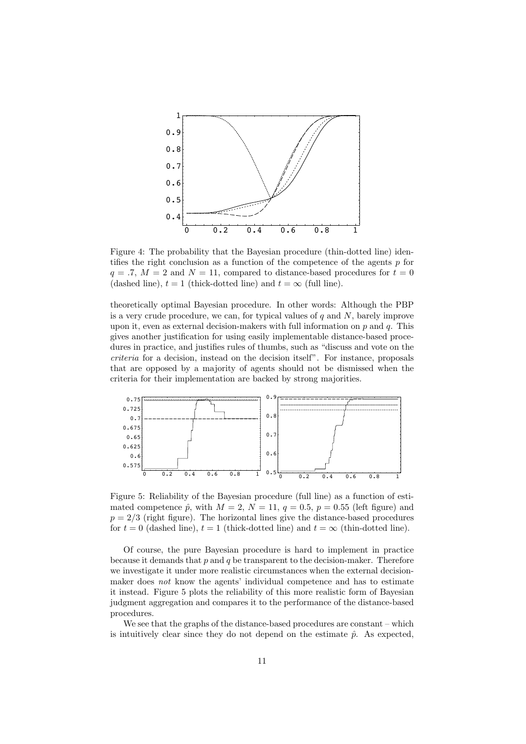

Figure 4: The probability that the Bayesian procedure (thin-dotted line) identifies the right conclusion as a function of the competence of the agents  $p$  for  $q = .7, M = 2$  and  $N = 11$ , compared to distance-based procedures for  $t = 0$ (dashed line),  $t = 1$  (thick-dotted line) and  $t = \infty$  (full line).

theoretically optimal Bayesian procedure. In other words: Although the PBP is a very crude procedure, we can, for typical values of  $q$  and  $N$ , barely improve upon it, even as external decision-makers with full information on  $p$  and  $q$ . This gives another justification for using easily implementable distance-based procedures in practice, and justifies rules of thumbs, such as "discuss and vote on the criteria for a decision, instead on the decision itself". For instance, proposals that are opposed by a majority of agents should not be dismissed when the criteria for their implementation are backed by strong majorities.



Figure 5: Reliability of the Bayesian procedure (full line) as a function of estimated competence  $\hat{p}$ , with  $M = 2$ ,  $N = 11$ ,  $q = 0.5$ ,  $p = 0.55$  (left figure) and  $p = 2/3$  (right figure). The horizontal lines give the distance-based procedures for  $t = 0$  (dashed line),  $t = 1$  (thick-dotted line) and  $t = \infty$  (thin-dotted line).

Of course, the pure Bayesian procedure is hard to implement in practice because it demands that  $p$  and  $q$  be transparent to the decision-maker. Therefore we investigate it under more realistic circumstances when the external decisionmaker does not know the agents' individual competence and has to estimate it instead. Figure 5 plots the reliability of this more realistic form of Bayesian judgment aggregation and compares it to the performance of the distance-based procedures.

We see that the graphs of the distance-based procedures are constant – which is intuitively clear since they do not depend on the estimate  $\hat{p}$ . As expected,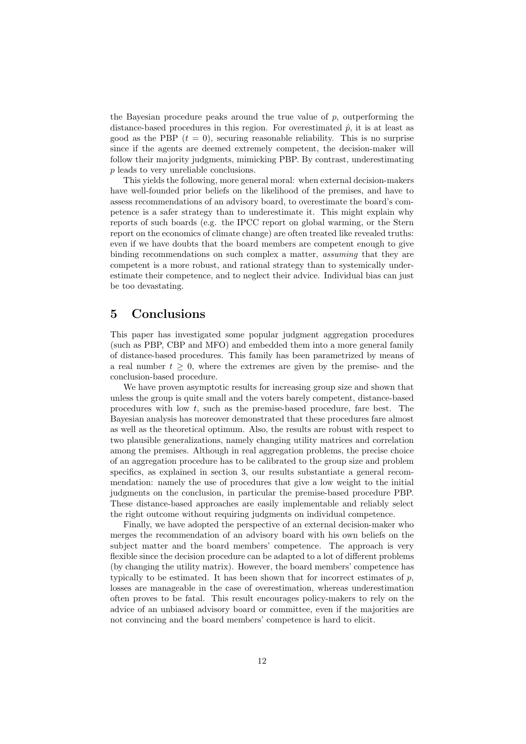the Bayesian procedure peaks around the true value of  $p$ , outperforming the distance-based procedures in this region. For overestimated  $\hat{p}$ , it is at least as good as the PBP  $(t = 0)$ , securing reasonable reliability. This is no surprise since if the agents are deemed extremely competent, the decision-maker will follow their majority judgments, mimicking PBP. By contrast, underestimating p leads to very unreliable conclusions.

This yields the following, more general moral: when external decision-makers have well-founded prior beliefs on the likelihood of the premises, and have to assess recommendations of an advisory board, to overestimate the board's competence is a safer strategy than to underestimate it. This might explain why reports of such boards (e.g. the IPCC report on global warming, or the Stern report on the economics of climate change) are often treated like revealed truths: even if we have doubts that the board members are competent enough to give binding recommendations on such complex a matter, assuming that they are competent is a more robust, and rational strategy than to systemically underestimate their competence, and to neglect their advice. Individual bias can just be too devastating.

# 5 Conclusions

This paper has investigated some popular judgment aggregation procedures (such as PBP, CBP and MFO) and embedded them into a more general family of distance-based procedures. This family has been parametrized by means of a real number  $t \geq 0$ , where the extremes are given by the premise- and the conclusion-based procedure.

We have proven asymptotic results for increasing group size and shown that unless the group is quite small and the voters barely competent, distance-based procedures with low t, such as the premise-based procedure, fare best. The Bayesian analysis has moreover demonstrated that these procedures fare almost as well as the theoretical optimum. Also, the results are robust with respect to two plausible generalizations, namely changing utility matrices and correlation among the premises. Although in real aggregation problems, the precise choice of an aggregation procedure has to be calibrated to the group size and problem specifics, as explained in section 3, our results substantiate a general recommendation: namely the use of procedures that give a low weight to the initial judgments on the conclusion, in particular the premise-based procedure PBP. These distance-based approaches are easily implementable and reliably select the right outcome without requiring judgments on individual competence.

Finally, we have adopted the perspective of an external decision-maker who merges the recommendation of an advisory board with his own beliefs on the subject matter and the board members' competence. The approach is very flexible since the decision procedure can be adapted to a lot of different problems (by changing the utility matrix). However, the board members' competence has typically to be estimated. It has been shown that for incorrect estimates of  $p$ , losses are manageable in the case of overestimation, whereas underestimation often proves to be fatal. This result encourages policy-makers to rely on the advice of an unbiased advisory board or committee, even if the majorities are not convincing and the board members' competence is hard to elicit.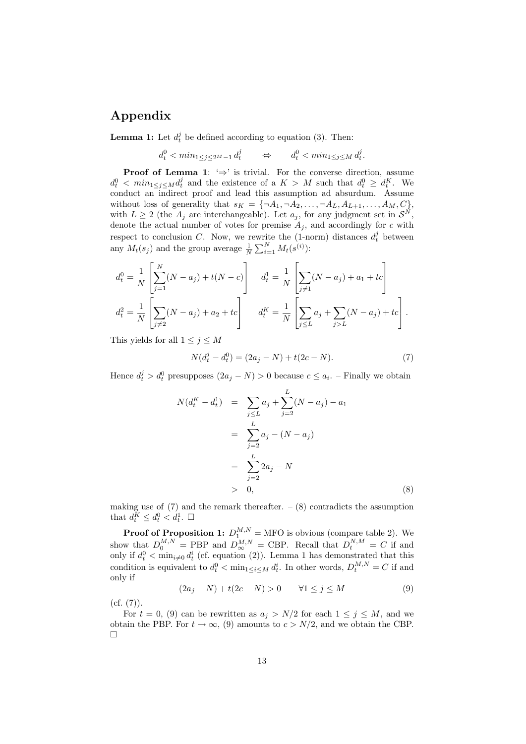# Appendix

**Lemma 1:** Let  $d_t^j$  be defined according to equation (3). Then:

 $d_t^0 < \min_{1 \le j \le 2^M-1} d_t^j \qquad \Leftrightarrow \qquad d_t^0 < \min_{1 \le j \le M} d_t^j.$ 

**Proof of Lemma 1:**  $\Rightarrow$  is trivial. For the converse direction, assume  $d_t^0 \leq \min_{1 \leq j \leq M} d_t^j$  and the existence of a  $K > M$  such that  $d_t^0 \geq d_t^K$ . We conduct an indirect proof and lead this assumption ad absurdum. Assume without loss of generality that  $s_K = \{\neg A_1, \neg A_2, \dots, \neg A_L, A_{L+1}, \dots, A_M, C\},\$ with  $L \geq 2$  (the  $A_j$  are interchangeable). Let  $a_j$ , for any judgment set in  $\mathcal{S}^N$ , denote the actual number of votes for premise  $A_j$ , and accordingly for c with respect to conclusion C. Now, we rewrite the  $(1\text{-norm})$  distances  $d_t^j$  between any  $M_t(s_j)$  and the group average  $\frac{1}{N} \sum_{i=1}^{N} M_t(s^{(i)})$ :

$$
d_t^0 = \frac{1}{N} \left[ \sum_{j=1}^N (N - a_j) + t(N - c) \right] \quad d_t^1 = \frac{1}{N} \left[ \sum_{j \neq 1} (N - a_j) + a_1 + tc \right]
$$
  

$$
d_t^2 = \frac{1}{N} \left[ \sum_{j \neq 2} (N - a_j) + a_2 + tc \right] \quad d_t^K = \frac{1}{N} \left[ \sum_{j \leq L} a_j + \sum_{j > L} (N - a_j) + tc \right].
$$

This yields for all  $1 \leq j \leq M$ 

$$
N(d_t^j - d_t^0) = (2a_j - N) + t(2c - N).
$$
\n(7)

Hence  $d_t^j > d_t^0$  presupposes  $(2a_j - N) > 0$  because  $c \le a_i$ . – Finally we obtain

$$
N(d_t^K - d_t^1) = \sum_{j \le L} a_j + \sum_{j=2}^L (N - a_j) - a_1
$$
  
= 
$$
\sum_{j=2}^L a_j - (N - a_j)
$$
  
= 
$$
\sum_{j=2}^L 2a_j - N
$$
  
> 0, (8)

making use of  $(7)$  and the remark thereafter.  $- (8)$  contradicts the assumption that  $d_t^K \leq d_t^0 < d_t^1$ .  $\Box$ 

**Proof of Proposition 1:**  $D_1^{M,N} = \text{MFO}$  is obvious (compare table 2). We show that  $D_0^{M,N} = \text{PBP}$  and  $D_{\infty}^{M,N} = \text{CBP}$ . Recall that  $D_t^{N,M} = C$  if and only if  $d_t^0 < \min_{i \neq 0} d_t^i$  (cf. equation (2)). Lemma 1 has demonstrated that this condition is equivalent to  $d_t^0 < \min_{1 \le i \le M} d_t^i$ . In other words,  $D_t^{M,N} = C$  if and only if

$$
(2a_j - N) + t(2c - N) > 0 \qquad \forall 1 \le j \le M \tag{9}
$$

 $(cf. (7)).$ 

For  $t = 0$ , (9) can be rewritten as  $a_j > N/2$  for each  $1 \le j \le M$ , and we obtain the PBP. For  $t \to \infty$ , (9) amounts to  $c > N/2$ , and we obtain the CBP.  $\Box$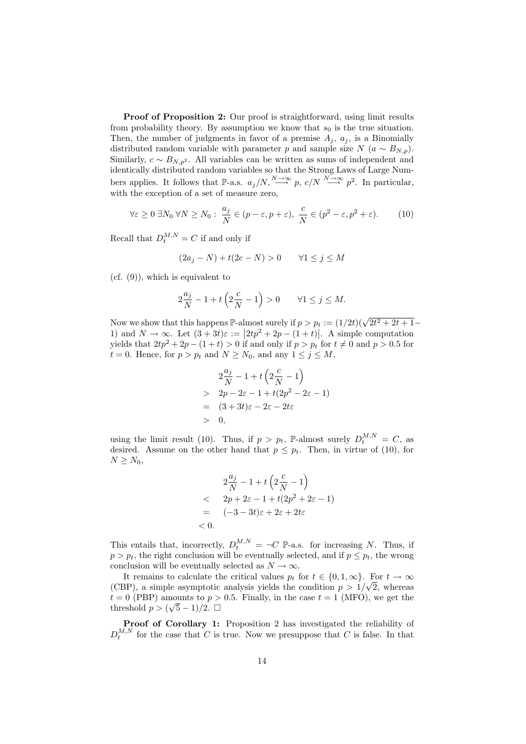Proof of Proposition 2: Our proof is straightforward, using limit results from probability theory. By assumption we know that  $s_0$  is the true situation. Then, the number of judgments in favor of a premise  $A_i$ ,  $a_i$ , is a Binomially distributed random variable with parameter p and sample size  $N(a \sim B_{N,p})$ . Similarly,  $c \sim B_{N,p^2}$ . All variables can be written as sums of independent and identically distributed random variables so that the Strong Laws of Large Numbers applies. It follows that P-a.s.  $a_j/N$ ,  $\stackrel{N\to\infty}{\longrightarrow} p$ ,  $c/N \stackrel{N\to\infty}{\longrightarrow} p^2$ . In particular, with the exception of a set of measure zero,

$$
\forall \varepsilon \ge 0 \ \exists N_0 \ \forall N \ge N_0 : \ \frac{a_j}{N} \in (p - \varepsilon, p + \varepsilon), \ \frac{c}{N} \in (p^2 - \varepsilon, p^2 + \varepsilon). \tag{10}
$$

Recall that  $D_t^{M,N} = C$  if and only if

$$
(2a_j - N) + t(2c - N) > 0 \qquad \forall 1 \le j \le M
$$

 $(cf. (9))$ , which is equivalent to

$$
2\frac{a_j}{N} - 1 + t\left(2\frac{c}{N} - 1\right) > 0 \qquad \forall 1 \le j \le M.
$$

Now we show that this happens  $\mathbb{P}\text{-almost surely if } p > p_t := (1/2t)(\sqrt{2t^2 + 2t + 1} -$ 1) and  $N \to \infty$ . Let  $(3+3t)\varepsilon := |2tp^2 + 2p - (1+t)|$ . A simple computation yields that  $2tp^2 + 2p - (1 + t) > 0$  if and only if  $p > p_t$  for  $t \neq 0$  and  $p > 0.5$  for  $t = 0$ . Hence, for  $p > p_t$  and  $N \ge N_0$ , and any  $1 \le j \le M$ ,

$$
2\frac{a_j}{N} - 1 + t\left(2\frac{c}{N} - 1\right)
$$
  
> 2p - 2\varepsilon - 1 + t(2p<sup>2</sup> - 2\varepsilon - 1)  
= (3+3t)\varepsilon - 2\varepsilon - 2t\varepsilon  
> 0,

using the limit result (10). Thus, if  $p > p_t$ , P-almost surely  $D_t^{M,N} = C$ , as desired. Assume on the other hand that  $p \leq p_t$ . Then, in virtue of (10), for  $N \geq N_0$ ,

$$
2\frac{a_j}{N} - 1 + t\left(2\frac{c}{N} - 1\right)
$$
  
< 
$$
< 2p + 2\varepsilon - 1 + t(2p^2 + 2\varepsilon - 1)
$$
  

$$
= (-3 - 3t)\varepsilon + 2\varepsilon + 2t\varepsilon
$$
  
< 0.

This entails that, incorrectly,  $D_t^{M,N} = \neg C \mathbb{P}$ -a.s. for increasing N. Thus, if  $p > p_t$ , the right conclusion will be eventually selected, and if  $p \leq p_t$ , the wrong conclusion will be eventually selected as  $N \to \infty$ .

It remains to calculate the critical values  $p_t$  for  $t \in \{0, 1, \infty\}$ . For  $t \to \infty$ (CBP), a simple asymptotic analysis yields the condition  $p > 1/\sqrt{2}$ , whereas  $t = 0$  (PBP) amounts to  $p > 0.5$ . Finally, in the case  $t = 1$  (MFO), we get the threshold  $p > (\sqrt{5}-1)/2$ .  $\Box$ 

Proof of Corollary 1: Proposition 2 has investigated the reliability of  $D_t^{M,N}$  for the case that C is true. Now we presuppose that C is false. In that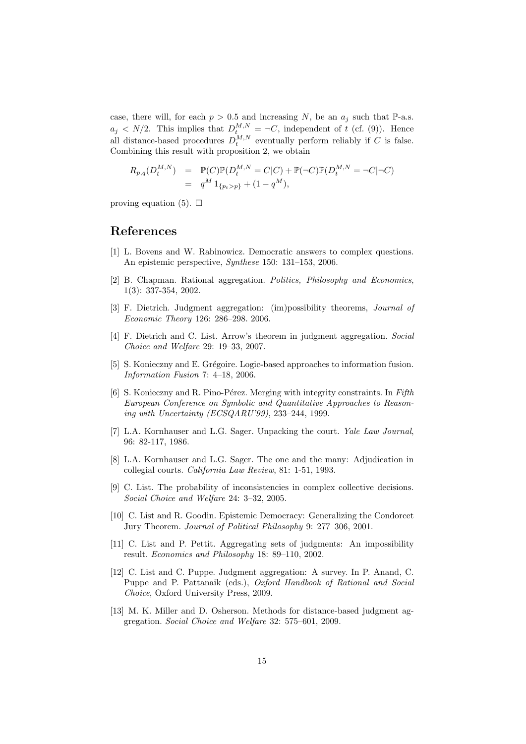case, there will, for each  $p > 0.5$  and increasing N, be an  $a_i$  such that P-a.s.  $a_j \langle N/2 \rangle$ . This implies that  $D_t^{M,N} = \neg C$ , independent of t (cf. (9)). Hence all distance-based procedures  $D_t^{M,N}$  eventually perform reliably if C is false. Combining this result with proposition 2, we obtain

$$
R_{p,q}(D_t^{M,N}) = \mathbb{P}(C)\mathbb{P}(D_t^{M,N} = C|C) + \mathbb{P}(\neg C)\mathbb{P}(D_t^{M,N} = \neg C|\neg C)
$$
  
=  $q^M 1_{\{p_t > p\}} + (1 - q^M),$ 

proving equation (5).  $\Box$ 

# References

- [1] L. Bovens and W. Rabinowicz. Democratic answers to complex questions. An epistemic perspective, Synthese 150: 131–153, 2006.
- [2] B. Chapman. Rational aggregation. Politics, Philosophy and Economics, 1(3): 337-354, 2002.
- [3] F. Dietrich. Judgment aggregation: (im)possibility theorems, Journal of Economic Theory 126: 286–298. 2006.
- [4] F. Dietrich and C. List. Arrow's theorem in judgment aggregation. Social Choice and Welfare 29: 19–33, 2007.
- [5] S. Konieczny and E. Grégoire. Logic-based approaches to information fusion. Information Fusion 7: 4–18, 2006.
- [6] S. Konieczny and R. Pino-Pérez. Merging with integrity constraints. In Fifth European Conference on Symbolic and Quantitative Approaches to Reasoning with Uncertainty (ECSQARU'99), 233–244, 1999.
- [7] L.A. Kornhauser and L.G. Sager. Unpacking the court. Yale Law Journal, 96: 82-117, 1986.
- [8] L.A. Kornhauser and L.G. Sager. The one and the many: Adjudication in collegial courts. California Law Review, 81: 1-51, 1993.
- [9] C. List. The probability of inconsistencies in complex collective decisions. Social Choice and Welfare 24: 3–32, 2005.
- [10] C. List and R. Goodin. Epistemic Democracy: Generalizing the Condorcet Jury Theorem. Journal of Political Philosophy 9: 277–306, 2001.
- [11] C. List and P. Pettit. Aggregating sets of judgments: An impossibility result. Economics and Philosophy 18: 89–110, 2002.
- [12] C. List and C. Puppe. Judgment aggregation: A survey. In P. Anand, C. Puppe and P. Pattanaik (eds.), Oxford Handbook of Rational and Social Choice, Oxford University Press, 2009.
- [13] M. K. Miller and D. Osherson. Methods for distance-based judgment aggregation. Social Choice and Welfare 32: 575–601, 2009.